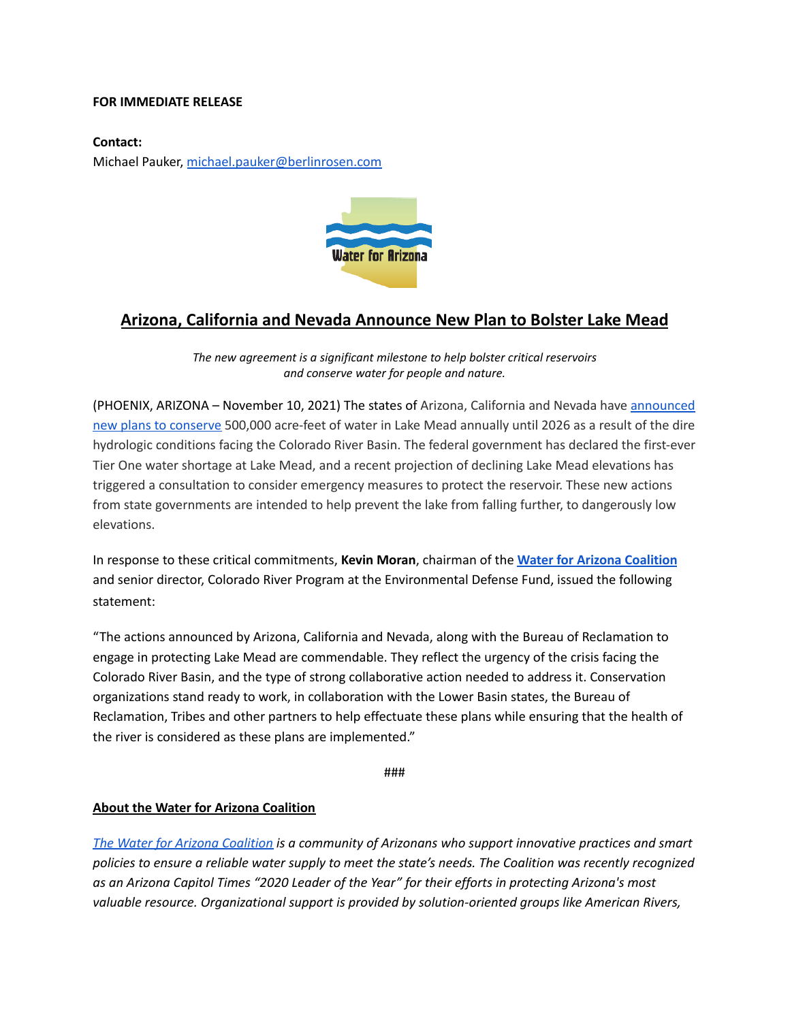## **FOR IMMEDIATE RELEASE**

## **Contact:**

Michael Pauker, [michael.pauker@berlinrosen.com](mailto:michael.pauker@berlinrosen.com)



## **Arizona, California and Nevada Announce New Plan to Bolster Lake Mead**

*The new agreement is a significant milestone to help bolster critical reservoirs and conserve water for people and nature.*

(PHOENIX, ARIZONA – November 10, 2021) The states of Arizona, California and Nevada have [announced](https://www.azcentral.com/story/opinion/op-ed/joannaallhands/2021/11/08/lake-mead-could-get-extra-water-from-lower-basin-annually/6306601001/) new plans to [conserve](https://www.azcentral.com/story/opinion/op-ed/joannaallhands/2021/11/08/lake-mead-could-get-extra-water-from-lower-basin-annually/6306601001/) 500,000 acre-feet of water in Lake Mead annually until 2026 as a result of the dire hydrologic conditions facing the Colorado River Basin. The federal government has declared the first-ever Tier One water shortage at Lake Mead, and a recent projection of declining Lake Mead elevations has triggered a consultation to consider emergency measures to protect the reservoir. These new actions from state governments are intended to help prevent the lake from falling further, to dangerously low elevations.

In response to these critical commitments, **Kevin Moran**, chairman of the **Water for Arizona [Coalition](https://www.waterforarizona.com/)** and senior director, Colorado River Program at the Environmental Defense Fund, issued the following statement:

"The actions announced by Arizona, California and Nevada, along with the Bureau of Reclamation to engage in protecting Lake Mead are commendable. They reflect the urgency of the crisis facing the Colorado River Basin, and the type of strong collaborative action needed to address it. Conservation organizations stand ready to work, in collaboration with the Lower Basin states, the Bureau of Reclamation, Tribes and other partners to help effectuate these plans while ensuring that the health of the river is considered as these plans are implemented."

###

## **About the Water for Arizona Coalition**

*The Water for Arizona [Coalition](https://www.waterforarizona.com/) is a community of Arizonans who support innovative practices and smart* policies to ensure a reliable water supply to meet the state's needs. The Coalition was recently recognized *as an Arizona Capitol Times "2020 Leader of the Year" for their efforts in protecting Arizona's most valuable resource. Organizational support is provided by solution-oriented groups like American Rivers,*